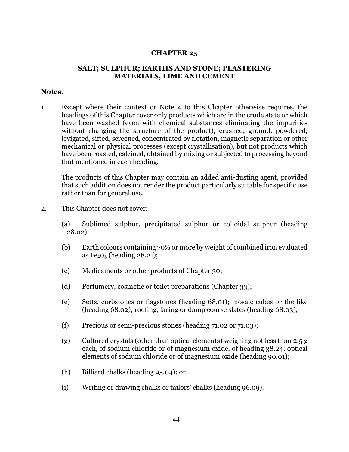## **CHAPTER 25**

## **SALT; SULPHUR; EARTHS AND STONE; PLASTERING MATERIALS, LIME AND CEMENT**

## **Notes.**

1. Except where their context or Note 4 to this Chapter otherwise requires, the headings of this Chapter cover only products which are in the crude state or which have been washed (even with chemical substances eliminating the impurities without changing the structure of the product), crushed, ground, powdered, levigated, sifted, screened, concentrated by flotation, magnetic separation or other mechanical or physical processes (except crystallisation), but not products which have been roasted, calcined, obtained by mixing or subjected to processing beyond that mentioned in each heading.

The products of this Chapter may contain an added anti-dusting agent, provided that such addition does not render the product particularly suitable for specific use rather than for general use.

- 2. This Chapter does not cover:
	- (a) Sublimed sulphur, precipitated sulphur or colloidal sulphur (heading 28.02);
	- (b) Earth colours containing 70% or more by weight of combined iron evaluated as  $Fe<sub>2</sub>O<sub>3</sub>$  (heading 28.21);
	- (c) Medicaments or other products of Chapter 30;
	- (d) Perfumery, cosmetic or toilet preparations (Chapter 33);
	- (e) Setts, curbstones or flagstones (heading 68.01); mosaic cubes or the like (heading 68.02); roofing, facing or damp course slates (heading 68.03);
	- (f) Precious or semi-precious stones (heading 71.02 or 71.03);
	- (g) Cultured crystals (other than optical elements) weighing not less than 2.5 g each, of sodium chloride or of magnesium oxide, of heading 38.24; optical elements of sodium chloride or of magnesium oxide (heading 90.01);
	- (h) Billiard chalks (heading 95.04); or
	- (i) Writing or drawing chalks or tailors' chalks (heading 96.09).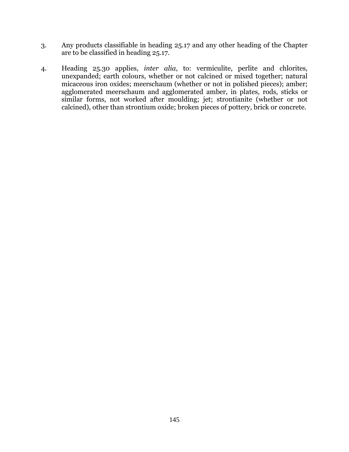- 3. Any products classifiable in heading 25.17 and any other heading of the Chapter are to be classified in heading 25.17.
- 4. Heading 25.30 applies, *inter alia*, to: vermiculite, perlite and chlorites, unexpanded; earth colours, whether or not calcined or mixed together; natural micaceous iron oxides; meerschaum (whether or not in polished pieces); amber; agglomerated meerschaum and agglomerated amber, in plates, rods, sticks or similar forms, not worked after moulding; jet; strontianite (whether or not calcined), other than strontium oxide; broken pieces of pottery, brick or concrete.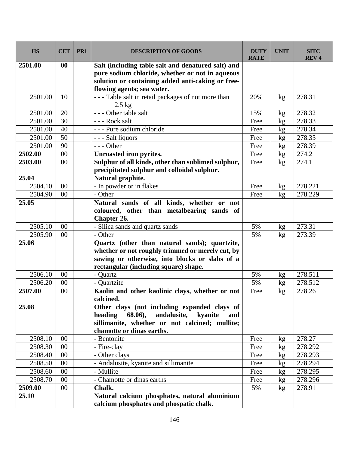| <b>HS</b> | <b>CET</b> | PR1 | <b>DESCRIPTION OF GOODS</b>                                      | <b>DUTY</b><br><b>RATE</b> | <b>UNIT</b>     | <b>SITC</b><br><b>REV4</b> |
|-----------|------------|-----|------------------------------------------------------------------|----------------------------|-----------------|----------------------------|
| 2501.00   | 00         |     | Salt (including table salt and denatured salt) and               |                            |                 |                            |
|           |            |     | pure sodium chloride, whether or not in aqueous                  |                            |                 |                            |
|           |            |     | solution or containing added anti-caking or free-                |                            |                 |                            |
|           |            |     | flowing agents; sea water.                                       |                            |                 |                            |
| 2501.00   | 10         |     | - - - Table salt in retail packages of not more than<br>$2.5$ kg | 20%                        | kg              | 278.31                     |
| 2501.00   | 20         |     | - - - Other table salt                                           | 15%                        | kg              | 278.32                     |
| 2501.00   | 30         |     | --- Rock salt                                                    | Free                       | kg              | 278.33                     |
| 2501.00   | 40         |     | - - - Pure sodium chloride                                       | Free                       | kg              | 278.34                     |
| 2501.00   | 50         |     | - - - Salt liquors                                               | Free                       | kg              | 278.35                     |
| 2501.00   | 90         |     | $--$ Other                                                       | Free                       | kg              | 278.39                     |
| 2502.00   | 00         |     | <b>Unroasted iron pyrites.</b>                                   | Free                       | kg              | 274.2                      |
| 2503.00   | 00         |     | Sulphur of all kinds, other than sublimed sulphur,               | Free                       | kg              | 274.1                      |
|           |            |     | precipitated sulphur and colloidal sulphur.                      |                            |                 |                            |
| 25.04     |            |     | Natural graphite.                                                |                            |                 |                            |
| 2504.10   | $00\,$     |     | - In powder or in flakes                                         | Free                       | kg              | 278.221                    |
| 2504.90   | 00         |     | - Other                                                          | Free                       | kg              | 278.229                    |
| 25.05     |            |     | Natural sands of all kinds, whether or not                       |                            |                 |                            |
|           |            |     | coloured, other than metalbearing sands of                       |                            |                 |                            |
|           |            |     | Chapter 26.                                                      |                            |                 |                            |
| 2505.10   | $00\,$     |     | - Silica sands and quartz sands                                  | 5%                         | kg              | 273.31                     |
| 2505.90   | 00         |     | - Other                                                          | 5%                         | kg              | 273.39                     |
| 25.06     |            |     | Quartz (other than natural sands); quartzite,                    |                            |                 |                            |
|           |            |     | whether or not roughly trimmed or merely cut, by                 |                            |                 |                            |
|           |            |     | sawing or otherwise, into blocks or slabs of a                   |                            |                 |                            |
|           |            |     | rectangular (including square) shape.                            |                            |                 |                            |
| 2506.10   | $00\,$     |     | - Quartz                                                         | 5%                         | kg              | 278.511                    |
| 2506.20   | 00         |     | - Quartzite                                                      | 5%                         | kg              | 278.512                    |
| 2507.00   | $00\,$     |     | Kaolin and other kaolinic clays, whether or not<br>calcined.     | Free                       | kg              | 278.26                     |
| 25.08     |            |     | Other clays (not including expanded clays of                     |                            |                 |                            |
|           |            |     | 68.06),<br>andalusite, kvanite<br>heading<br>and                 |                            |                 |                            |
|           |            |     | sillimanite, whether or not calcined; mullite;                   |                            |                 |                            |
|           |            |     | chamotte or dinas earths.                                        |                            |                 |                            |
| 2508.10   | 00         |     | - Bentonite                                                      | Free                       | kg              | 278.27                     |
| 2508.30   | $00\,$     |     | - Fire-clay                                                      | Free                       | kg              | 278.292                    |
| 2508.40   | $00\,$     |     | - Other clays                                                    | Free                       | kg              | 278.293                    |
| 2508.50   | 00         |     | - Andalusite, kyanite and sillimanite                            | Free                       | kg <sub>2</sub> | 278.294                    |
| 2508.60   | $00\,$     |     | - Mullite                                                        | Free                       | kg              | 278.295                    |
| 2508.70   | $00\,$     |     | - Chamotte or dinas earths                                       | Free                       | kg              | 278.296                    |
| 2509.00   | $00\,$     |     | Chalk.                                                           | 5%                         | kg              | 278.91                     |
| 25.10     |            |     | Natural calcium phosphates, natural aluminium                    |                            |                 |                            |
|           |            |     | calcium phosphates and phospatic chalk.                          |                            |                 |                            |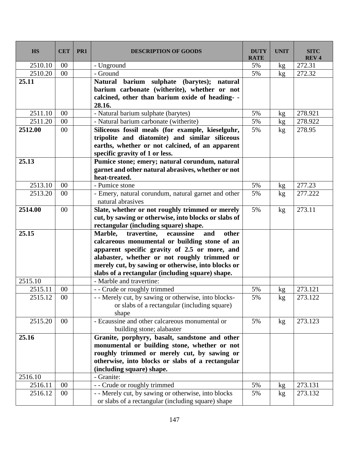| <b>HS</b> | <b>CET</b>      | PR1 | <b>DESCRIPTION OF GOODS</b>                                              | <b>DUTY</b><br><b>RATE</b> | <b>UNIT</b> | <b>SITC</b><br><b>REV4</b> |
|-----------|-----------------|-----|--------------------------------------------------------------------------|----------------------------|-------------|----------------------------|
| 2510.10   | $00\,$          |     | - Unground                                                               | 5%                         | kg          | 272.31                     |
| 2510.20   | 00              |     | - Ground                                                                 | 5%                         | kg          | 272.32                     |
| 25.11     |                 |     | Natural barium sulphate (barytes);<br>natural                            |                            |             |                            |
|           |                 |     | barium carbonate (witherite), whether or not                             |                            |             |                            |
|           |                 |     | calcined, other than barium oxide of heading- -                          |                            |             |                            |
|           |                 |     | 28.16.                                                                   |                            |             |                            |
| 2511.10   | $00\,$          |     | - Natural barium sulphate (barytes)                                      | 5%                         | kg          | 278.921                    |
| 2511.20   | 00              |     | - Natural barium carbonate (witherite)                                   | 5%                         | kg          | 278.922                    |
| 2512.00   | 00              |     | Siliceous fossil meals (for example, kieselguhr,                         | 5%                         | kg          | 278.95                     |
|           |                 |     | tripolite and diatomite) and similar siliceous                           |                            |             |                            |
|           |                 |     | earths, whether or not calcined, of an apparent                          |                            |             |                            |
|           |                 |     | specific gravity of 1 or less.                                           |                            |             |                            |
| 25.13     |                 |     | Pumice stone; emery; natural corundum, natural                           |                            |             |                            |
|           |                 |     | garnet and other natural abrasives, whether or not                       |                            |             |                            |
|           |                 |     | heat-treated.                                                            |                            |             |                            |
| 2513.10   | $00\,$          |     | - Pumice stone                                                           | 5%                         | kg          | 277.23                     |
| 2513.20   | $00\,$          |     | - Emery, natural corundum, natural garnet and other<br>natural abrasives | 5%                         | kg          | 277.222                    |
| 2514.00   | 00              |     | Slate, whether or not roughly trimmed or merely                          | 5%                         | kg          | 273.11                     |
|           |                 |     | cut, by sawing or otherwise, into blocks or slabs of                     |                            |             |                            |
|           |                 |     | rectangular (including square) shape.                                    |                            |             |                            |
| 25.15     |                 |     | Marble,<br>travertine,<br>ecaussine<br>other<br>and                      |                            |             |                            |
|           |                 |     | calcareous monumental or building stone of an                            |                            |             |                            |
|           |                 |     | apparent specific gravity of 2.5 or more, and                            |                            |             |                            |
|           |                 |     | alabaster, whether or not roughly trimmed or                             |                            |             |                            |
|           |                 |     | merely cut, by sawing or otherwise, into blocks or                       |                            |             |                            |
|           |                 |     | slabs of a rectangular (including square) shape.                         |                            |             |                            |
| 2515.10   |                 |     | - Marble and travertine:                                                 |                            |             |                            |
| 2515.11   | 00              |     | - - Crude or roughly trimmed                                             | 5%                         | kg          | 273.121                    |
| 2515.12   | $\overline{00}$ |     | - - Merely cut, by sawing or otherwise, into blocks-                     | 5%                         | kg          | 273.122                    |
|           |                 |     | or slabs of a rectangular (including square)                             |                            |             |                            |
|           |                 |     | shape                                                                    |                            |             |                            |
| 2515.20   | 00              |     | - Ecaussine and other calcareous monumental or                           | 5%                         | kg          | 273.123                    |
|           |                 |     | building stone; alabaster                                                |                            |             |                            |
| 25.16     |                 |     | Granite, porphyry, basalt, sandstone and other                           |                            |             |                            |
|           |                 |     | monumental or building stone, whether or not                             |                            |             |                            |
|           |                 |     | roughly trimmed or merely cut, by sawing or                              |                            |             |                            |
|           |                 |     | otherwise, into blocks or slabs of a rectangular                         |                            |             |                            |
|           |                 |     | (including square) shape.                                                |                            |             |                            |
| 2516.10   |                 |     | - Granite:                                                               |                            |             |                            |
| 2516.11   | $00\,$          |     | - - Crude or roughly trimmed                                             | 5%                         | kg          | 273.131                    |
| 2516.12   | $00\,$          |     | - - Merely cut, by sawing or otherwise, into blocks                      | 5%                         | kg          | 273.132                    |
|           |                 |     | or slabs of a rectangular (including square) shape                       |                            |             |                            |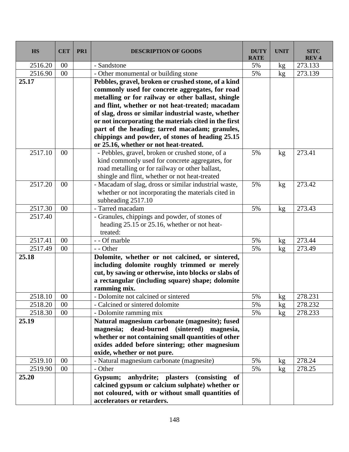| <b>HS</b> | <b>CET</b> | PR <sub>1</sub> | <b>DESCRIPTION OF GOODS</b>                                                                              | <b>DUTY</b><br><b>RATE</b> | <b>UNIT</b> | <b>SITC</b><br><b>REV4</b> |
|-----------|------------|-----------------|----------------------------------------------------------------------------------------------------------|----------------------------|-------------|----------------------------|
| 2516.20   | 00         |                 | - Sandstone                                                                                              | 5%                         | kg          | 273.133                    |
| 2516.90   | 00         |                 | - Other monumental or building stone                                                                     | 5%                         | kg          | 273.139                    |
| 25.17     |            |                 | Pebbles, gravel, broken or crushed stone, of a kind                                                      |                            |             |                            |
|           |            |                 | commonly used for concrete aggregates, for road                                                          |                            |             |                            |
|           |            |                 | metalling or for railway or other ballast, shingle                                                       |                            |             |                            |
|           |            |                 | and flint, whether or not heat-treated; macadam                                                          |                            |             |                            |
|           |            |                 | of slag, dross or similar industrial waste, whether                                                      |                            |             |                            |
|           |            |                 | or not incorporating the materials cited in the first                                                    |                            |             |                            |
|           |            |                 | part of the heading; tarred macadam; granules,                                                           |                            |             |                            |
|           |            |                 | chippings and powder, of stones of heading 25.15                                                         |                            |             |                            |
|           |            |                 | or 25.16, whether or not heat-treated.                                                                   |                            |             |                            |
| 2517.10   | $00\,$     |                 | - Pebbles, gravel, broken or crushed stone, of a                                                         | 5%                         | kg          | 273.41                     |
|           |            |                 | kind commonly used for concrete aggregates, for                                                          |                            |             |                            |
|           |            |                 | road metalling or for railway or other ballast,                                                          |                            |             |                            |
|           |            |                 | shingle and flint, whether or not heat-treated                                                           |                            |             |                            |
| 2517.20   | 00         |                 | - Macadam of slag, dross or similar industrial waste,                                                    | 5%                         | kg          | 273.42                     |
|           |            |                 | whether or not incorporating the materials cited in                                                      |                            |             |                            |
|           |            |                 | subheading 2517.10                                                                                       |                            |             |                            |
| 2517.30   | 00         |                 | - Tarred macadam                                                                                         | 5%                         | kg          | 273.43                     |
| 2517.40   |            |                 | - Granules, chippings and powder, of stones of                                                           |                            |             |                            |
|           |            |                 | heading 25.15 or 25.16, whether or not heat-                                                             |                            |             |                            |
|           |            |                 | treated:                                                                                                 |                            |             |                            |
| 2517.41   | 00         |                 | - - Of marble                                                                                            | 5%                         | kg          | 273.44                     |
| 2517.49   | 00         |                 | - - Other                                                                                                | 5%                         | kg          | 273.49                     |
| 25.18     |            |                 | Dolomite, whether or not calcined, or sintered,                                                          |                            |             |                            |
|           |            |                 | including dolomite roughly trimmed or merely                                                             |                            |             |                            |
|           |            |                 | cut, by sawing or otherwise, into blocks or slabs of<br>a rectangular (including square) shape; dolomite |                            |             |                            |
|           |            |                 | ramming mix.                                                                                             |                            |             |                            |
| 2518.10   | $00\,$     |                 | Dolomite not calcined or sintered                                                                        | 5%                         |             | 278.231                    |
| 2518.20   | 00         |                 | - Calcined or sintered dolomite                                                                          | 5%                         | kg          | 278.232                    |
| 2518.30   | 00         |                 | - Dolomite ramming mix                                                                                   | 5%                         | kg<br>kg    | 278.233                    |
| 25.19     |            |                 | Natural magnesium carbonate (magnesite); fused                                                           |                            |             |                            |
|           |            |                 | magnesia; dead-burned (sintered) magnesia,                                                               |                            |             |                            |
|           |            |                 | whether or not containing small quantities of other                                                      |                            |             |                            |
|           |            |                 | oxides added before sintering; other magnesium                                                           |                            |             |                            |
|           |            |                 | oxide, whether or not pure.                                                                              |                            |             |                            |
| 2519.10   | 00         |                 | - Natural magnesium carbonate (magnesite)                                                                | 5%                         | kg          | 278.24                     |
| 2519.90   | $00\,$     |                 | - Other                                                                                                  | 5%                         | kg          | 278.25                     |
| 25.20     |            |                 | anhydrite; plasters (consisting<br>Gypsum;<br>of                                                         |                            |             |                            |
|           |            |                 | calcined gypsum or calcium sulphate) whether or                                                          |                            |             |                            |
|           |            |                 | not coloured, with or without small quantities of                                                        |                            |             |                            |
|           |            |                 | accelerators or retarders.                                                                               |                            |             |                            |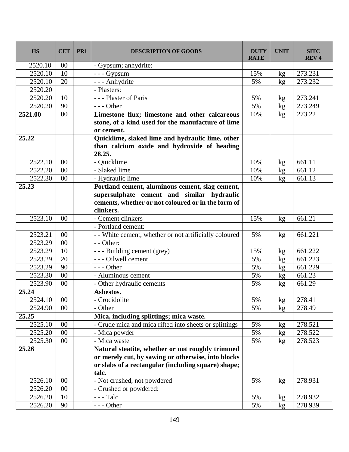| <b>HS</b> | <b>CET</b> | PR <sub>1</sub> | <b>DESCRIPTION OF GOODS</b>                                                                                                                                      | <b>DUTY</b><br><b>RATE</b> | <b>UNIT</b>     | <b>SITC</b><br><b>REV4</b> |
|-----------|------------|-----------------|------------------------------------------------------------------------------------------------------------------------------------------------------------------|----------------------------|-----------------|----------------------------|
| 2520.10   | 00         |                 | - Gypsum; anhydrite:                                                                                                                                             |                            |                 |                            |
| 2520.10   | 10         |                 | $-- Gypsum$                                                                                                                                                      | 15%                        | kg              | 273.231                    |
| 2520.10   | 20         |                 | - - - Anhydrite                                                                                                                                                  | 5%                         | kg              | 273.232                    |
| 2520.20   |            |                 | - Plasters:                                                                                                                                                      |                            |                 |                            |
| 2520.20   | 10         |                 | --- Plaster of Paris                                                                                                                                             | 5%                         | kg              | 273.241                    |
| 2520.20   | 90         |                 | $--$ Other                                                                                                                                                       | 5%                         | kg <sub>2</sub> | 273.249                    |
| 2521.00   | 00         |                 | Limestone flux; limestone and other calcareous                                                                                                                   | 10%                        | kg              | 273.22                     |
|           |            |                 | stone, of a kind used for the manufacture of lime                                                                                                                |                            |                 |                            |
|           |            |                 | or cement.                                                                                                                                                       |                            |                 |                            |
| 25.22     |            |                 | Quicklime, slaked lime and hydraulic lime, other                                                                                                                 |                            |                 |                            |
|           |            |                 | than calcium oxide and hydroxide of heading<br>28.25.                                                                                                            |                            |                 |                            |
| 2522.10   | 00         |                 | - Quicklime                                                                                                                                                      | 10%                        | kg              | 661.11                     |
| 2522.20   | 00         |                 | - Slaked lime                                                                                                                                                    | 10%                        | kg              | 661.12                     |
| 2522.30   | 00         |                 | - Hydraulic lime                                                                                                                                                 | 10%                        | kg              | 661.13                     |
| 25.23     |            |                 | Portland cement, aluminous cement, slag cement,<br>supersulphate cement and similar hydraulic<br>cements, whether or not coloured or in the form of<br>clinkers. |                            |                 |                            |
| 2523.10   | $00\,$     |                 | - Cement clinkers                                                                                                                                                | 15%                        | kg              | 661.21                     |
|           |            |                 | - Portland cement:                                                                                                                                               |                            |                 |                            |
| 2523.21   | 00         |                 | - - White cement, whether or not artificially coloured                                                                                                           | 5%                         | kg              | 661.221                    |
| 2523.29   | 00         |                 | $-$ - Other:                                                                                                                                                     |                            |                 |                            |
| 2523.29   | 10         |                 | - - - Building cement (grey)                                                                                                                                     | 15%                        | kg              | 661.222                    |
| 2523.29   | 20         |                 | - - - Oilwell cement                                                                                                                                             | 5%                         | kg              | 661.223                    |
| 2523.29   | 90         |                 | $--$ Other                                                                                                                                                       | 5%                         | kg              | 661.229                    |
| 2523.30   | 00         |                 | - Aluminous cement                                                                                                                                               | 5%                         | kg              | 661.23                     |
| 2523.90   | $00\,$     |                 | - Other hydraulic cements                                                                                                                                        | 5%                         | kg              | 661.29                     |
| 25.24     |            |                 | Asbestos.                                                                                                                                                        |                            |                 |                            |
| 2524.10   | 00         |                 | - Crocidolite                                                                                                                                                    | 5%                         | kg              | 278.41                     |
| 2524.90   | $00\,$     |                 | - Other                                                                                                                                                          | 5%                         | kg              | 278.49                     |
| 25.25     |            |                 | Mica, including splittings; mica waste.                                                                                                                          |                            |                 |                            |
| 2525.10   | 00         |                 | - Crude mica and mica rifted into sheets or splittings                                                                                                           | 5%                         | kg              | 278.521                    |
| 2525.20   | 00         |                 | - Mica powder                                                                                                                                                    | 5%                         | kg              | 278.522                    |
| 2525.30   | 00         |                 | - Mica waste                                                                                                                                                     | 5%                         | kg              | 278.523                    |
| 25.26     |            |                 | Natural steatite, whether or not roughly trimmed                                                                                                                 |                            |                 |                            |
|           |            |                 | or merely cut, by sawing or otherwise, into blocks                                                                                                               |                            |                 |                            |
|           |            |                 | or slabs of a rectangular (including square) shape;                                                                                                              |                            |                 |                            |
|           |            |                 | talc.                                                                                                                                                            |                            |                 |                            |
| 2526.10   | 00         |                 | - Not crushed, not powdered                                                                                                                                      | 5%                         | kg              | 278.931                    |
| 2526.20   | $00\,$     |                 | - Crushed or powdered:                                                                                                                                           |                            |                 |                            |
| 2526.20   | 10         |                 | $--$ Talc                                                                                                                                                        | 5%                         | kg              | 278.932                    |
| 2526.20   | 90         |                 | $--$ Other                                                                                                                                                       | 5%                         | kg              | 278.939                    |